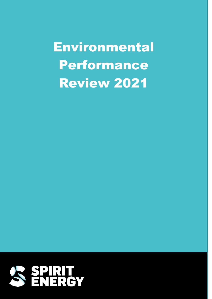Environmental Performance Review 2021

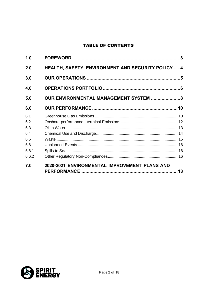### **TABLE OF CONTENTS**

| 7.0   | 2020-2021 ENVIRONMENTAL IMPROVEMENT PLANS AND     |  |
|-------|---------------------------------------------------|--|
| 6.6.2 |                                                   |  |
| 6.6.1 |                                                   |  |
| 6.6   |                                                   |  |
| 6.5   |                                                   |  |
| 6.4   |                                                   |  |
| 6.3   |                                                   |  |
| 6.2   |                                                   |  |
| 6.1   |                                                   |  |
| 6.0   |                                                   |  |
| 5.0   | <b>OUR ENVIRONMENTAL MANAGEMENT SYSTEM  8</b>     |  |
| 4.0   |                                                   |  |
| 3.0   |                                                   |  |
| 2.0   | HEALTH, SAFETY, ENVIRONMENT AND SECURITY POLICY 4 |  |
| 1.0   |                                                   |  |

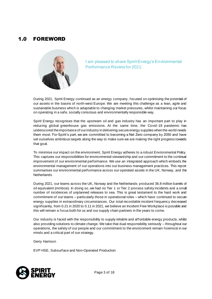### <span id="page-2-0"></span>1.0 FOREWORD



I am pleased to share Spirit Energy's Environmental Performance Review for 2021.

During 2021, Spirit Energy continued as an energy company, focused on optimising the potential of our assets in the basins of north-west Europe. We are meeting this challenge as a lean, agile and sustainable business which is adaptable to changing market pressures, whilst maintaining our focus on operating in a safe, socially conscious and environmentally responsible way.

Spirit Energy recognises that the upstream oil and gas industry has an important part to play in reducing global greenhouse gas emissions. At the same time, the Covid -19 pandemic has underscored the importance of our industry in delivering secure energy supplies when the world needs them most. For Spirit's part, we are committed to becoming a Net Zero company by 2050 and have set ourselves ambitious targets along the way to make sure we are making the right progress towards that goal.

To minimise our impact on the environment, Spirit Energy adheres to a robust Environmental Policy. This captures our responsibilities for environmental stewardship and our commitment to the continual improvement of our environmental performance. We use an integrated approach which embeds the environmental management of our operations into our business management practices. This report summarises our environmental performance across our operated assets in the UK, Norway, and the Netherlands.

During 2021, our teams across the UK, Norway and the Netherlands produced 36.8 million barrels of oil equivalent (mmboe). In doing so, we had no Tier 1 or Tier 2 process safety incidents and a small number of incidences of unplanned releases to sea. This is great testament to the hard work and commitment of our teams – particularly those in operational roles – which have continued to secure energy supplies in extraordinary circumstances. Our total recordable incident frequency decreased significantly, from 0.21 in 2020 to 0.11 in 2021, we believe an Incident Free Workplace is possible and this will remain a focus both for us and our supply chain partners in the years to come.

Our industry is faced with the responsibility to supply reliable and affordable energy products, whilst also providing solutions to climate change. We take that dual responsibility seriously – throughout our operations, the safety of our people and our commitment to the environment remain foremost in our minds and a critical part of our strategy.

Gerry Harrison

EVP HSE, Subsurface and Non-Operated Production

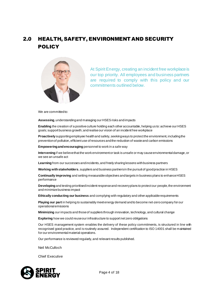## <span id="page-3-0"></span>2.0 HEALTH, SAFETY, ENVIRONMENT AND SECURITY POLICY



At Spirit Energy, creating an incident free workplace is our top priority. All employees and business partners are required to comply with this policy and our commitments outlined below.

We are committed to:

**Assessing**, understanding and managing our HSES risks and impacts

**Enabling** the creation of a positive culture holding each other accountable, helping us to: achieve our HSES goals; support business growth; and realise our vision of an incident free workplace

**Proactively**supporting employee health and safety, seeking ways to protect the environment, including the prevention of pollution, efficient use of resources and the reduction of waste and carbon emissions

**Empowering and encouraging** personnel to work in a safe way

**Intervening** if we believe that the work environment or task is unsafe or may cause environmental damage, or we see an unsafe act

**Learning**from our successes and incidents, and freely sharing lessons with business partners

**Working with stakeholders**, suppliers and business partners in the pursuit of good practice in HSES

**Continually improving** and setting measurable objectives and targets in business plans to enhance HSES performance

**Developing** and testing prioritised incident response and recovery plans to protect our people, the environment and minimize business impact

**Ethically conducting our business** and complying with regulatory and other applicable requirements

**Playing our part** in helping to sustainably meet energy demand and to become net-zerocompany for our operationalemissions

**Minimizing** our impacts and those of suppliers through innovation, technology, and cultural change

**Exploring** how we could reuse our infrastructure to support net zero obligations

Our HSES management system enables the delivery of these policy commitments, is structured in line with recognised good practice, and is routinely assured. Independent certification to ISO 14001 shall be maintained for our environmental material operations.

Our performance is reviewed regularly, and relevant results published.

Neil McCulloch

Chief Executive

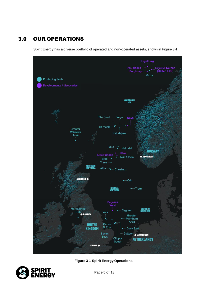# <span id="page-4-0"></span>3.0 OUR OPERATIONS

Spirit Energy has a diverse portfolio of operated and non-operated assets, shown i[n Figure 3-1.](#page-4-1)



**Figure 3-1 Spirit Energy Operations**

<span id="page-4-1"></span>

Page 5 of 18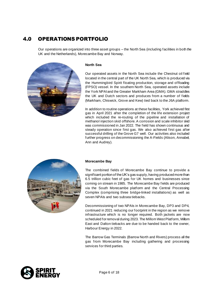## <span id="page-5-0"></span>4.0 OPERATIONS PORTFOLIO

Our operations are organized into three asset groups – the North Sea (including facilities in both the UK and the Netherlands), Morecambe Bay and Norway.



#### **North Sea**

Our operated assets in the North Sea include the Chestnut oil field located in the central part of the UK North Sea, which is produced via the Hummingbird Spirit floating production, storage and offloading (FPSO) vessel. In the southern North Sea, operated assets include the York NPAI and the Greater Markham Area (GMA). GMA straddles the UK and Dutch sectors and produces from a number of fields (Markham, Chiswick, Grove and Kew) tied back to the J6A platform.

In addition to routine operations at these facilities, York achieved first gas in April 2021 after the completion of the life extension project which included the re-routing of the pipeline and installation of methanol injection skid offshore. A corrosion and scale inhibitor skid was commissioned in Jan 2022. The field has shown continuous and steady operation since first gas. We also achieved first gas after successful drilling of the Grove G7 well. Our activities also included further progress on decommissioning the A-Fields (Alison, Annabel, Ann and Audrey).



#### **Morecambe Bay**

The combined fields of Morecambe Bay continue to provide a significant portion of the UK's gas supply, having produced more than 6.5 trillion cubic feet of gas for UK homes and businesses since coming on stream in 1985. The Morecambe Bay fields are produced via the South Morecambe platform and the Central Processing Complex (comprising three bridge-linked installations) as well as seven NPAIs and two subsea tiebacks.

Decommissioning of two NPAIs in Morecambe Bay, DP3 and DP4, continued in 2021 reducing our footprint in the region as we remove infrastructure which is no longer required. Both jackets are now scheduled for removal during 2023. The Millom West Platform, Millom East and Dalton tiebacks are due to be handed back to the owner, Harbour Energy in 2022.

The Barrow Gas Terminals (Barrow North and Rivers) process all the gas from Morecambe Bay including gathering and processing services for third parties.

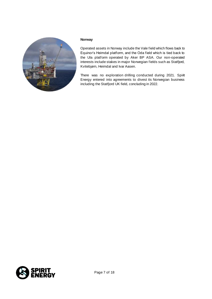

#### **Norway**

Operated assets in Norway include the Vale field which flows back to Equinor's Heimdal platform, and the Oda field which is tied back to the Ula platform operated by Aker BP ASA. Our non-operated interests include stakes in major Norwegian fields such as Statfjord, Kvitebjørn, Heimdal and Ivar Aasen.

There was no exploration drilling conducted during 2021. Spirit Energy entered into agreements to divest its Norwegian business including the Statfjord UK field, concluding in 2022.

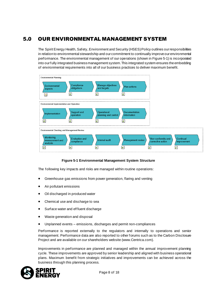## <span id="page-7-0"></span>5.0 OUR ENVIRONMENTAL MANAGEMENT SYSTEM

The Spirit Energy Health, Safety, Environment and Security (HSES)Policy outlines our responsibilities in relation to environmental stewardship and our commitment to continually improve our environmental performance. The environmental management of our operations (shown i[n Figure 5-1](#page-7-1)) is incorporated into our fully integrated business management system. This integrated system ensures the embedding of environmental requirements into all of our business practices to deliver maximum benefit.



#### **Figure 5-1 Environmental Management System Structure**

<span id="page-7-1"></span>The following key impacts and risks are managed within routine operations:

- Greenhouse gas emissions from power generation, flaring and venting
- Air pollutant emissions
- Oil discharged in produced water
- Chemical use and discharge to sea
- Surface water and effluent discharge
- Waste generation and disposal
- Unplanned events emissions, discharges and permit non-compliances

Performance is reported externally to the regulators and internally to operations and senior management. Performance data are also reported to other forums such as to the Carbon Disclosure Project and are available on our shareholders website (www.Centrica.com).

Improvements in performance are planned and managed within the annual improvement planning cycle. These improvements are approved by senior leadership and aligned with business operational plans. Maximum benefit from strategic initiatives and improvements can be achieved across the business through this planning process.

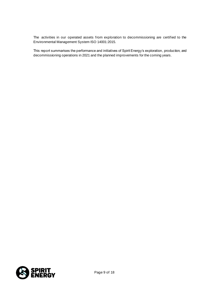The activities in our operated assets from exploration to decommissioning are certified to the Environmental Management System ISO 14001:2015.

This report summarises the performance and initiatives of Spirit Energy's exploration, production, and decommissioning operations in 2021 and the planned improvements for the coming years.

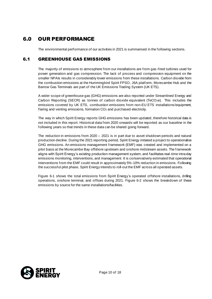## <span id="page-9-0"></span>6.0 OUR PERFORMANCE

The environmental performance of our activities in 2021 is summarised in the following sections.

### <span id="page-9-1"></span>6.1 GREENHOUSE GAS EMISSIONS

The majority of emissions to atmosphere from our installations are from gas -fired turbines used for power generation and gas compression. The lack of process and compression equipment on the smaller NPAIs results in considerably lower emissions from these installations. Carbon dioxide from the combustion emissions at the Hummingbird Spirit FPSO, J6A platform, Morecambe Hub and the Barrow Gas Terminals are part of the UK Emissions Trading System (UK ETS).

A wider scope of greenhouse gas (GHG) emissions are also reported under Streamlined Energy and Carbon Reporting (SECR) as tonnes of carbon dioxide equivalent (TeCO<sub>2</sub>e). This includes the emissions covered by UK ETS, combustion emissions from non-EU ETS installations/equipment, flaring and venting emissions, formation CO<sub>2</sub> and purchased electricity.

The way in which Spirit Energy reports GHG emissions has been updated, therefore historical data is not included in this report. Historical data from 2020 onwards will be reported as our baseline in the following years so that trends in these data can be shared going forward.

The reduction in emissions from 2020 – 2021 is in part due to asset shutdown periods and natural production decline. During the 2021 reporting period, Spirit Energy initiated a project to operationalise GHG emissions. An emissions management framework (EMF) was created and implemented on a pilot basis at the Morecambe Bay offshore upstream and onshore midstream assets. The framework aligns with Spirit Energy's existing production management system, and facilitates real-time intra-day emissions monitoring, interventions, and management. It is conservatively estimated that operational interventions from the EMF could result in approximately 5%-10% reduction in emissions. Following the successful pilot phase, Spirit Energy intends to roll-out the EMF across all operated assets.

[Figure 6-1](#page-10-0) shows the total emissions from Spirit Energy's operated offshore installations, drilling operations, onshore terminal, and offices during 2021. [Figure 6-2](#page-10-1) shows the breakdown of these emissions by source for the same installations/facilities.

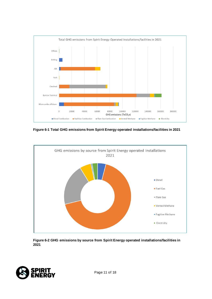

<span id="page-10-0"></span>**Figure 6-1 Total GHG emissions from Spirit Energy operated installations/facilities in 2021**



<span id="page-10-1"></span>**Figure 6-2 GHG emissions by source from Spirit Energy operated installations/facilities in 2021**

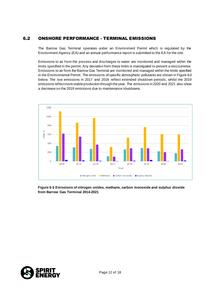#### <span id="page-11-0"></span>6.2 ONSHORE PERFORMANCE - TERMINAL EMISSIONS

The Barrow Gas Terminal operates under an Environment Permit which is regulated by the Environment Agency (EA) and an annual performance report is submitted to the EA for the site.

Emissions to air from the process and discharges to water are monitored and managed within the limits specified in the permit. Any deviation from these limits is investigated to prevent a reoccurrence. Emissions to air from the Barrow Gas Terminal are monitored and managed within the limits specified in the Environmental Permit. The emissions of specific atmospheric pollutants are shown i[n Figure 6-3](#page-11-1) below. The low emissions in 2017 and 2018 reflect extended shutdown periods, whilst the 2019 emissions reflect more stable production through the year. The emissions in 2020 and 2021 also show a decrease on the 2019 emissions due to maintenance shutdowns.



<span id="page-11-1"></span>**Figure 6-3 Emissions of nitrogen oxides, methane, carbon monoxide and sulphur dioxide from Barrow Gas Terminal 2014-2021**

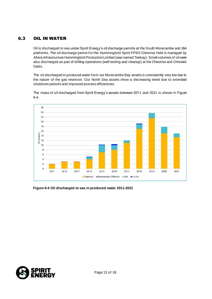#### <span id="page-12-0"></span>6.3 OIL IN WATER

Oil is discharged to sea under Spirit Energy's oil discharge permits at the South Morecambe and J6A platforms. The oil discharge permit for the Hummingbird Spirit FPSO Chestnut field is managed by Altera Infrastructure Hummingbird Production Limited (was named Teekay). Small volumes of oil were also discharged as part of drilling operations (well testing and cleanup) at the Chestnut and Chiswick fields.

The oil discharged in produced water from our Morecambe Bay assets is consistently very low due to the nature of the gas reservoir. Our North Sea assets show a decreasing trend due to extended shutdown periods and improved process efficiencies.



The mass of oil discharged from Spirit Energy's assets between 2011 and 2021 is shown in [Figure](#page-12-1)  [6-4.](#page-12-1)

<span id="page-12-1"></span>**Figure 6-4 Oil discharged to sea in produced water 2011-2021**

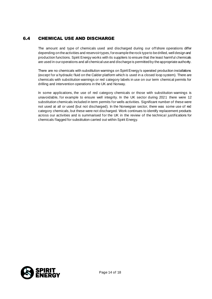### <span id="page-13-0"></span>6.4 CHEMICAL USE AND DISCHARGE

The amount and type of chemicals used and discharged during our offshore operations differ depending on the activities and reservoir types, for example the rock type to be drilled, well design and production functions. Spirit Energy works with its suppliers to ensure that the least harmful chemicals are used in our operations and all chemical use and discharge is permitted by the appropriate authority.

There are no chemicals with substitution warnings on Spirit Energy's operated production installations (except for a hydraulic fluid on the Calder platform which is used in a closed loop system). There are chemicals with substitution warnings or red category labels in use on our term chemical permits for drilling and intervention operations in the UK and Norway.

In some applications, the use of red category chemicals or those with substitution warnings is unavoidable, for example to ensure well integrity. In the UK sector during 2021 there were 12 substitution chemicals included in term permits for wells activities. Significant number of these were not used at all or used (but not discharged). In the Norwegian sector, there was some use of red category chemicals, but these were not discharged. Work continues to identify replacement products across our activities and is summarised for the UK in the review of the technical justifications for chemicals flagged for substitution carried out within Spirit Energy.

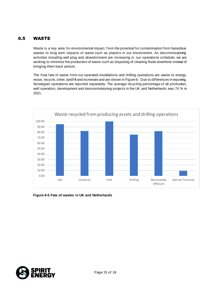### <span id="page-14-0"></span>6.5 WASTE

Waste is a key area for environmental impact, from the potential for contamination from hazardous wastes to long term impacts of waste such as plastics in our environment. As decommissioning activities including well plug and abandonment are increasing in our operations schedule, we are working to minimise the production of waste such as disposing of cleaning fluids downhole instead of bringing them back ashore.

The final fate of waste from our operated installations and drilling operations are waste to energy, reuse, recycle, other, landfill and incinerate and are shown i[n Figure 6-.](#page-14-1) Due to differences in reporting, Norwegian operations are reported separately. The average recycling percentage of all production, well operation, development and decommissioning projects in the UK and Netherlands was 74 % in 2021.



<span id="page-14-1"></span>**Figure 6-5 Fate of wastes in UK and Netherlands**

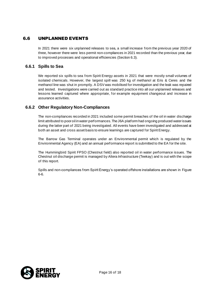### <span id="page-15-0"></span>6.6 UNPLANNED EVENTS

In 2021 there were six unplanned releases to sea, a small increase from the previous year 2020 of three, however there were less permit non-compliances in 2021 recorded than the previous year, due to improved processes and operational efficiencies (Sectio[n 6.3](#page-12-0)).

#### <span id="page-15-1"></span>**6.6.1 Spills to Sea**

We reported six spills to sea from Spirit Energy assets in 2021 that were mostly small volumes of isolated chemicals. However, the largest spill was 250 kg of methanol at Eris & Ceres and the methanol line was shut in promptly. A DSV was mobilised for investigation and the leak was repaired and tested. Investigations were carried out as standard practice into all our unplanned releases and lessons learned captured where appropriate, for example equipment changeout and increase in assurance activities.

#### <span id="page-15-2"></span>**6.6.2 Other Regulatory Non-Compliances**

The non-compliances recorded in 2021 included some permit breaches of the oil in water discharge limit attributed to poor oil in water performances. The J6A platform had ongoing produced water issues during the latter part of 2021 being investigated. All events have been investigated and addressed at both an asset and cross asset basis to ensure learnings are captured for Spirit Energy.

The Barrow Gas Terminal operates under an Environmental permit which is regulated by the Environmental Agency (EA) and an annual performance report is submitted to the EA for the site.

The Hummingbird Spirit FPSO (Chestnut field) also reported oil in water performance issues. The Chestnut oil discharge permit is managed by Altera Infrastructure (Teekay) and is out with the scope of this report.

Spills and non-compliances from Spirit Energy's operated offshore installations are shown in Figure 6-6.

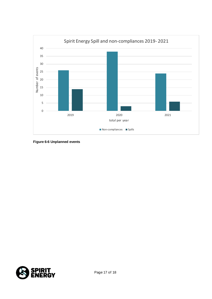

**Figure 6-6 Unplanned events**